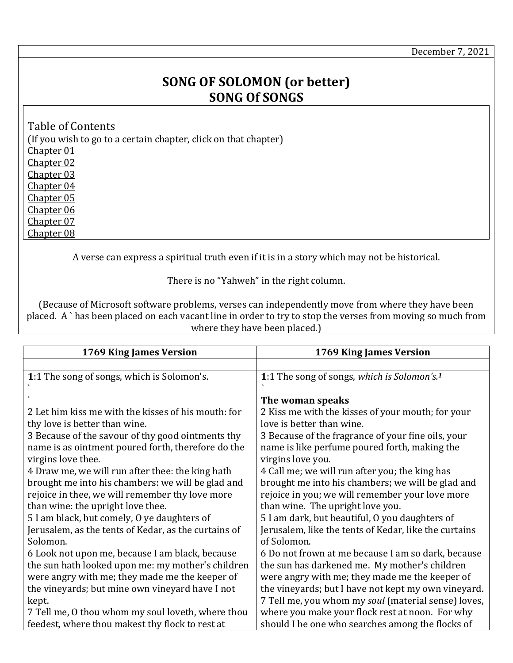December 7, 2021

## **SONG OF SOLOMON (or better) SONG Of SONGS**

<span id="page-0-5"></span><span id="page-0-4"></span><span id="page-0-3"></span><span id="page-0-2"></span><span id="page-0-1"></span>Table of Contents (If you wish to go to a certain chapter, click on that chapter) [Chapter 01](#page-0-0) [Chapter 02](#page-1-0) [Chapter 03](#page-2-0)  [Chapter 04](#page-3-0) [Chapter 05](#page-4-0) [Chapter 06](#page-5-0) [Chapter 07](#page-6-0) [Chapter 08](#page-7-0)

<span id="page-0-8"></span><span id="page-0-7"></span><span id="page-0-6"></span>A verse can express a spiritual truth even if it is in a story which may not be historical.

There is no "Yahweh" in the right column.

(Because of Microsoft software problems, verses can independently move from where they have been placed. A ` has been placed on each vacant line in order to try to stop the verses from moving so much from where they have been placed.)

<span id="page-0-0"></span>

| 1769 King James Version                              | 1769 King James Version                                 |
|------------------------------------------------------|---------------------------------------------------------|
|                                                      |                                                         |
| 1:1 The song of songs, which is Solomon's.           | 1:1 The song of songs, which is Solomon's. <sup>1</sup> |
|                                                      | The woman speaks                                        |
| 2 Let him kiss me with the kisses of his mouth: for  | 2 Kiss me with the kisses of your mouth; for your       |
| thy love is better than wine.                        | love is better than wine.                               |
| 3 Because of the savour of thy good ointments thy    | 3 Because of the fragrance of your fine oils, your      |
| name is as ointment poured forth, therefore do the   | name is like perfume poured forth, making the           |
| virgins love thee.                                   | virgins love you.                                       |
| 4 Draw me, we will run after thee: the king hath     | 4 Call me; we will run after you; the king has          |
| brought me into his chambers: we will be glad and    | brought me into his chambers; we will be glad and       |
| rejoice in thee, we will remember thy love more      | rejoice in you; we will remember your love more         |
| than wine: the upright love thee.                    | than wine. The upright love you.                        |
| 5 I am black, but comely, O ye daughters of          | 5 I am dark, but beautiful, O you daughters of          |
| Jerusalem, as the tents of Kedar, as the curtains of | Jerusalem, like the tents of Kedar, like the curtains   |
| Solomon.                                             | of Solomon.                                             |
| 6 Look not upon me, because I am black, because      | 6 Do not frown at me because I am so dark, because      |
| the sun hath looked upon me: my mother's children    | the sun has darkened me. My mother's children           |
| were angry with me; they made me the keeper of       | were angry with me; they made me the keeper of          |
| the vineyards; but mine own vineyard have I not      | the vineyards; but I have not kept my own vineyard.     |
| kept.                                                | 7 Tell me, you whom my soul (material sense) loves,     |
| 7 Tell me, 0 thou whom my soul loveth, where thou    | where you make your flock rest at noon. For why         |
| feedest, where thou makest thy flock to rest at      | should I be one who searches among the flocks of        |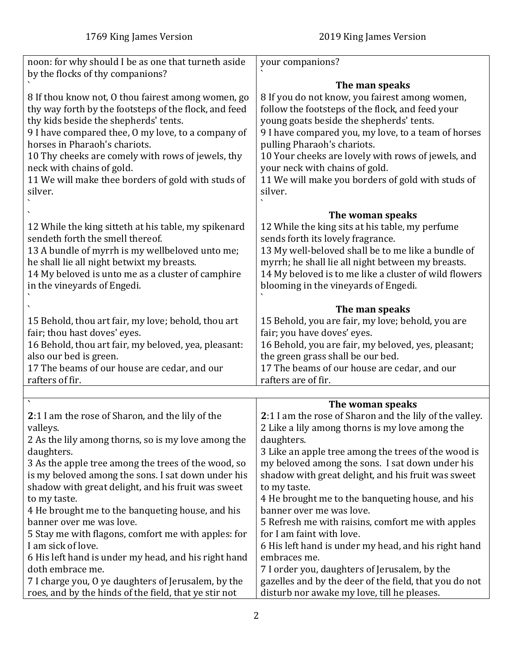<span id="page-1-0"></span>

| noon: for why should I be as one that turneth aside                                                                                                                                                                                                                                                                                                                                            | your companions?                                                                                                                                                                                                                                                                                                                                                                             |
|------------------------------------------------------------------------------------------------------------------------------------------------------------------------------------------------------------------------------------------------------------------------------------------------------------------------------------------------------------------------------------------------|----------------------------------------------------------------------------------------------------------------------------------------------------------------------------------------------------------------------------------------------------------------------------------------------------------------------------------------------------------------------------------------------|
| by the flocks of thy companions?                                                                                                                                                                                                                                                                                                                                                               | The man speaks                                                                                                                                                                                                                                                                                                                                                                               |
| 8 If thou know not, 0 thou fairest among women, go<br>thy way forth by the footsteps of the flock, and feed<br>thy kids beside the shepherds' tents.<br>9 I have compared thee, 0 my love, to a company of<br>horses in Pharaoh's chariots.<br>10 Thy cheeks are comely with rows of jewels, thy<br>neck with chains of gold.<br>11 We will make thee borders of gold with studs of<br>silver. | 8 If you do not know, you fairest among women,<br>follow the footsteps of the flock, and feed your<br>young goats beside the shepherds' tents.<br>9 I have compared you, my love, to a team of horses<br>pulling Pharaoh's chariots.<br>10 Your cheeks are lovely with rows of jewels, and<br>your neck with chains of gold.<br>11 We will make you borders of gold with studs of<br>silver. |
|                                                                                                                                                                                                                                                                                                                                                                                                | The woman speaks                                                                                                                                                                                                                                                                                                                                                                             |
| 12 While the king sitteth at his table, my spikenard<br>sendeth forth the smell thereof.<br>13 A bundle of myrrh is my wellbeloved unto me;<br>he shall lie all night betwixt my breasts.<br>14 My beloved is unto me as a cluster of camphire<br>in the vineyards of Engedi.                                                                                                                  | 12 While the king sits at his table, my perfume<br>sends forth its lovely fragrance.<br>13 My well-beloved shall be to me like a bundle of<br>myrrh; he shall lie all night between my breasts.<br>14 My beloved is to me like a cluster of wild flowers<br>blooming in the vineyards of Engedi.                                                                                             |
|                                                                                                                                                                                                                                                                                                                                                                                                | The man speaks                                                                                                                                                                                                                                                                                                                                                                               |
| 15 Behold, thou art fair, my love; behold, thou art<br>fair; thou hast doves' eyes.<br>16 Behold, thou art fair, my beloved, yea, pleasant:<br>also our bed is green.<br>17 The beams of our house are cedar, and our<br>rafters of fir.                                                                                                                                                       | 15 Behold, you are fair, my love; behold, you are<br>fair; you have doves' eyes.<br>16 Behold, you are fair, my beloved, yes, pleasant;<br>the green grass shall be our bed.<br>17 The beams of our house are cedar, and our<br>rafters are of fir.                                                                                                                                          |
|                                                                                                                                                                                                                                                                                                                                                                                                |                                                                                                                                                                                                                                                                                                                                                                                              |
| 2:1 I am the rose of Sharon, and the lily of the<br>valleys.<br>2 As the lily among thorns, so is my love among the<br>daughters.<br>3 As the apple tree among the trees of the wood, so<br>is my beloved among the sons. I sat down under his                                                                                                                                                 | The woman speaks<br>2:1 I am the rose of Sharon and the lily of the valley.<br>2 Like a lily among thorns is my love among the<br>daughters.<br>3 Like an apple tree among the trees of the wood is<br>my beloved among the sons. I sat down under his<br>shadow with great delight, and his fruit was sweet                                                                                 |
| shadow with great delight, and his fruit was sweet<br>to my taste.<br>4 He brought me to the banqueting house, and his                                                                                                                                                                                                                                                                         | to my taste.<br>4 He brought me to the banqueting house, and his<br>banner over me was love.                                                                                                                                                                                                                                                                                                 |
| banner over me was love.<br>5 Stay me with flagons, comfort me with apples: for<br>I am sick of love.<br>6 His left hand is under my head, and his right hand                                                                                                                                                                                                                                  | 5 Refresh me with raisins, comfort me with apples<br>for I am faint with love.<br>6 His left hand is under my head, and his right hand<br>embraces me.                                                                                                                                                                                                                                       |
| doth embrace me.<br>7 I charge you, O ye daughters of Jerusalem, by the                                                                                                                                                                                                                                                                                                                        | 7 I order you, daughters of Jerusalem, by the<br>gazelles and by the deer of the field, that you do not                                                                                                                                                                                                                                                                                      |
| roes, and by the hinds of the field, that ye stir not                                                                                                                                                                                                                                                                                                                                          | disturb nor awake my love, till he pleases.                                                                                                                                                                                                                                                                                                                                                  |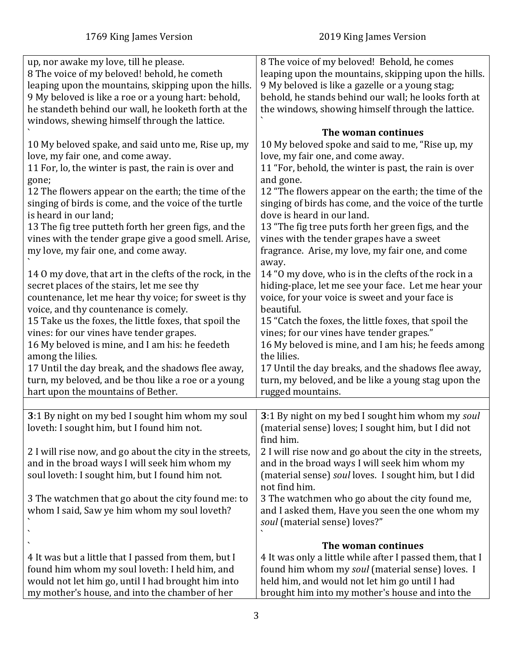<span id="page-2-0"></span>

| up, nor awake my love, till he please.                   | 8 The voice of my beloved! Behold, he comes              |
|----------------------------------------------------------|----------------------------------------------------------|
| 8 The voice of my beloved! behold, he cometh             | leaping upon the mountains, skipping upon the hills.     |
| leaping upon the mountains, skipping upon the hills.     | 9 My beloved is like a gazelle or a young stag;          |
| 9 My beloved is like a roe or a young hart: behold,      | behold, he stands behind our wall; he looks forth at     |
| he standeth behind our wall, he looketh forth at the     | the windows, showing himself through the lattice.        |
| windows, shewing himself through the lattice.            |                                                          |
|                                                          | The woman continues                                      |
| 10 My beloved spake, and said unto me, Rise up, my       | 10 My beloved spoke and said to me, "Rise up, my         |
| love, my fair one, and come away.                        | love, my fair one, and come away.                        |
| 11 For, lo, the winter is past, the rain is over and     | 11 "For, behold, the winter is past, the rain is over    |
|                                                          |                                                          |
| gone;                                                    | and gone.                                                |
| 12 The flowers appear on the earth; the time of the      | 12 "The flowers appear on the earth; the time of the     |
| singing of birds is come, and the voice of the turtle    | singing of birds has come, and the voice of the turtle   |
| is heard in our land;                                    | dove is heard in our land.                               |
| 13 The fig tree putteth forth her green figs, and the    | 13 "The fig tree puts forth her green figs, and the      |
| vines with the tender grape give a good smell. Arise,    | vines with the tender grapes have a sweet                |
| my love, my fair one, and come away.                     | fragrance. Arise, my love, my fair one, and come         |
|                                                          | away.                                                    |
| 14 0 my dove, that art in the clefts of the rock, in the | 14 "O my dove, who is in the clefts of the rock in a     |
| secret places of the stairs, let me see thy              | hiding-place, let me see your face. Let me hear your     |
| countenance, let me hear thy voice; for sweet is thy     | voice, for your voice is sweet and your face is          |
| voice, and thy countenance is comely.                    | beautiful.                                               |
| 15 Take us the foxes, the little foxes, that spoil the   | 15 "Catch the foxes, the little foxes, that spoil the    |
| vines: for our vines have tender grapes.                 | vines; for our vines have tender grapes."                |
| 16 My beloved is mine, and I am his: he feedeth          | 16 My beloved is mine, and I am his; he feeds among      |
| among the lilies.                                        | the lilies.                                              |
| 17 Until the day break, and the shadows flee away,       | 17 Until the day breaks, and the shadows flee away,      |
| turn, my beloved, and be thou like a roe or a young      | turn, my beloved, and be like a young stag upon the      |
| hart upon the mountains of Bether.                       | rugged mountains.                                        |
|                                                          |                                                          |
| 3:1 By night on my bed I sought him whom my soul         | 3:1 By night on my bed I sought him whom my soul         |
| loveth: I sought him, but I found him not.               | (material sense) loves; I sought him, but I did not      |
|                                                          | find him.                                                |
|                                                          |                                                          |
| 2 I will rise now, and go about the city in the streets, | 2 I will rise now and go about the city in the streets,  |
| and in the broad ways I will seek him whom my            | and in the broad ways I will seek him whom my            |
| soul loveth: I sought him, but I found him not.          | (material sense) soul loves. I sought him, but I did     |
|                                                          | not find him.                                            |
| 3 The watchmen that go about the city found me: to       | 3 The watchmen who go about the city found me,           |
| whom I said, Saw ye him whom my soul loveth?             | and I asked them, Have you seen the one whom my          |
|                                                          | soul (material sense) loves?"                            |
|                                                          |                                                          |
|                                                          | The woman continues                                      |
| 4 It was but a little that I passed from them, but I     | 4 It was only a little while after I passed them, that I |
| found him whom my soul loveth: I held him, and           | found him whom my soul (material sense) loves. I         |
| would not let him go, until I had brought him into       | held him, and would not let him go until I had           |
| my mother's house, and into the chamber of her           | brought him into my mother's house and into the          |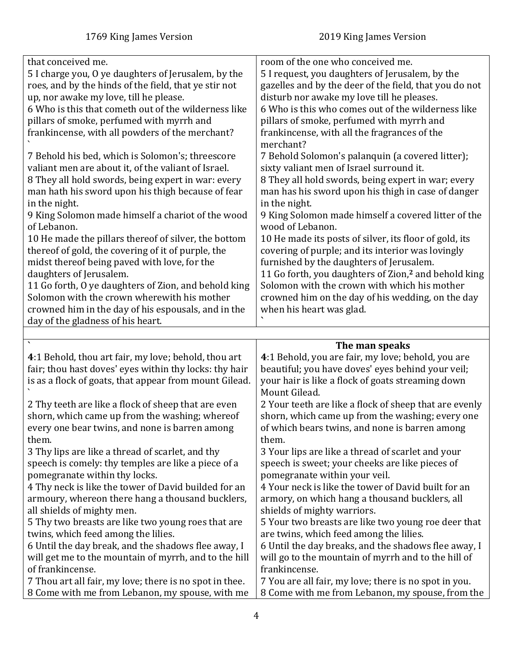<span id="page-3-0"></span>

| that conceived me.<br>5 I charge you, O ye daughters of Jerusalem, by the<br>roes, and by the hinds of the field, that ye stir not<br>up, nor awake my love, till he please.<br>6 Who is this that cometh out of the wilderness like<br>pillars of smoke, perfumed with myrrh and<br>frankincense, with all powders of the merchant?<br>7 Behold his bed, which is Solomon's; threescore<br>valiant men are about it, of the valiant of Israel.<br>8 They all hold swords, being expert in war: every<br>man hath his sword upon his thigh because of fear<br>in the night.<br>9 King Solomon made himself a chariot of the wood<br>of Lebanon.<br>10 He made the pillars thereof of silver, the bottom<br>thereof of gold, the covering of it of purple, the<br>midst thereof being paved with love, for the<br>daughters of Jerusalem.<br>11 Go forth, O ye daughters of Zion, and behold king<br>Solomon with the crown wherewith his mother<br>crowned him in the day of his espousals, and in the<br>day of the gladness of his heart. | room of the one who conceived me.<br>5 I request, you daughters of Jerusalem, by the<br>gazelles and by the deer of the field, that you do not<br>disturb nor awake my love till he pleases.<br>6 Who is this who comes out of the wilderness like<br>pillars of smoke, perfumed with myrrh and<br>frankincense, with all the fragrances of the<br>merchant?<br>7 Behold Solomon's palanquin (a covered litter);<br>sixty valiant men of Israel surround it.<br>8 They all hold swords, being expert in war; every<br>man has his sword upon his thigh in case of danger<br>in the night.<br>9 King Solomon made himself a covered litter of the<br>wood of Lebanon.<br>10 He made its posts of silver, its floor of gold, its<br>covering of purple; and its interior was lovingly<br>furnished by the daughters of Jerusalem.<br>11 Go forth, you daughters of Zion, <sup>2</sup> and behold king<br>Solomon with the crown with which his mother<br>crowned him on the day of his wedding, on the day<br>when his heart was glad. |
|---------------------------------------------------------------------------------------------------------------------------------------------------------------------------------------------------------------------------------------------------------------------------------------------------------------------------------------------------------------------------------------------------------------------------------------------------------------------------------------------------------------------------------------------------------------------------------------------------------------------------------------------------------------------------------------------------------------------------------------------------------------------------------------------------------------------------------------------------------------------------------------------------------------------------------------------------------------------------------------------------------------------------------------------|--------------------------------------------------------------------------------------------------------------------------------------------------------------------------------------------------------------------------------------------------------------------------------------------------------------------------------------------------------------------------------------------------------------------------------------------------------------------------------------------------------------------------------------------------------------------------------------------------------------------------------------------------------------------------------------------------------------------------------------------------------------------------------------------------------------------------------------------------------------------------------------------------------------------------------------------------------------------------------------------------------------------------------------|
|                                                                                                                                                                                                                                                                                                                                                                                                                                                                                                                                                                                                                                                                                                                                                                                                                                                                                                                                                                                                                                             |                                                                                                                                                                                                                                                                                                                                                                                                                                                                                                                                                                                                                                                                                                                                                                                                                                                                                                                                                                                                                                      |
|                                                                                                                                                                                                                                                                                                                                                                                                                                                                                                                                                                                                                                                                                                                                                                                                                                                                                                                                                                                                                                             |                                                                                                                                                                                                                                                                                                                                                                                                                                                                                                                                                                                                                                                                                                                                                                                                                                                                                                                                                                                                                                      |
|                                                                                                                                                                                                                                                                                                                                                                                                                                                                                                                                                                                                                                                                                                                                                                                                                                                                                                                                                                                                                                             |                                                                                                                                                                                                                                                                                                                                                                                                                                                                                                                                                                                                                                                                                                                                                                                                                                                                                                                                                                                                                                      |
| 4:1 Behold, thou art fair, my love; behold, thou art<br>fair; thou hast doves' eyes within thy locks: thy hair<br>is as a flock of goats, that appear from mount Gilead.                                                                                                                                                                                                                                                                                                                                                                                                                                                                                                                                                                                                                                                                                                                                                                                                                                                                    | The man speaks<br>4:1 Behold, you are fair, my love; behold, you are<br>beautiful; you have doves' eyes behind your veil;<br>your hair is like a flock of goats streaming down<br>Mount Gilead.                                                                                                                                                                                                                                                                                                                                                                                                                                                                                                                                                                                                                                                                                                                                                                                                                                      |
| 2 Thy teeth are like a flock of sheep that are even<br>shorn, which came up from the washing; whereof<br>every one bear twins, and none is barren among<br>them.<br>3 Thy lips are like a thread of scarlet, and thy                                                                                                                                                                                                                                                                                                                                                                                                                                                                                                                                                                                                                                                                                                                                                                                                                        | 2 Your teeth are like a flock of sheep that are evenly<br>shorn, which came up from the washing; every one<br>of which bears twins, and none is barren among<br>them.<br>3 Your lips are like a thread of scarlet and your                                                                                                                                                                                                                                                                                                                                                                                                                                                                                                                                                                                                                                                                                                                                                                                                           |
| speech is comely: thy temples are like a piece of a<br>pomegranate within thy locks.<br>4 Thy neck is like the tower of David builded for an<br>armoury, whereon there hang a thousand bucklers,<br>all shields of mighty men.                                                                                                                                                                                                                                                                                                                                                                                                                                                                                                                                                                                                                                                                                                                                                                                                              | speech is sweet; your cheeks are like pieces of<br>pomegranate within your veil.<br>4 Your neck is like the tower of David built for an<br>armory, on which hang a thousand bucklers, all<br>shields of mighty warriors.                                                                                                                                                                                                                                                                                                                                                                                                                                                                                                                                                                                                                                                                                                                                                                                                             |
| 5 Thy two breasts are like two young roes that are<br>twins, which feed among the lilies.<br>6 Until the day break, and the shadows flee away, I<br>will get me to the mountain of myrrh, and to the hill<br>of frankincense.<br>7 Thou art all fair, my love; there is no spot in thee.<br>8 Come with me from Lebanon, my spouse, with me                                                                                                                                                                                                                                                                                                                                                                                                                                                                                                                                                                                                                                                                                                 | 5 Your two breasts are like two young roe deer that<br>are twins, which feed among the lilies.<br>6 Until the day breaks, and the shadows flee away, I<br>will go to the mountain of myrrh and to the hill of<br>frankincense.<br>7 You are all fair, my love; there is no spot in you.<br>8 Come with me from Lebanon, my spouse, from the                                                                                                                                                                                                                                                                                                                                                                                                                                                                                                                                                                                                                                                                                          |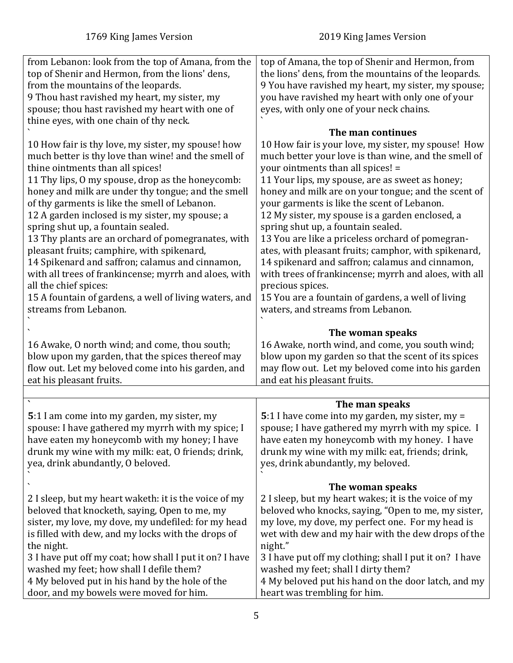<span id="page-4-0"></span>

| from Lebanon: look from the top of Amana, from the<br>top of Shenir and Hermon, from the lions' dens,                                                                                                                                                                                                                                                                                                                                                                                                                                                                                                                                                                                                                         | top of Amana, the top of Shenir and Hermon, from<br>the lions' dens, from the mountains of the leopards.                                                                                                                                                                                                                                                                                                                                                                                                                                                                                                                                                                                                                                                       |
|-------------------------------------------------------------------------------------------------------------------------------------------------------------------------------------------------------------------------------------------------------------------------------------------------------------------------------------------------------------------------------------------------------------------------------------------------------------------------------------------------------------------------------------------------------------------------------------------------------------------------------------------------------------------------------------------------------------------------------|----------------------------------------------------------------------------------------------------------------------------------------------------------------------------------------------------------------------------------------------------------------------------------------------------------------------------------------------------------------------------------------------------------------------------------------------------------------------------------------------------------------------------------------------------------------------------------------------------------------------------------------------------------------------------------------------------------------------------------------------------------------|
| from the mountains of the leopards.<br>9 Thou hast ravished my heart, my sister, my                                                                                                                                                                                                                                                                                                                                                                                                                                                                                                                                                                                                                                           | 9 You have ravished my heart, my sister, my spouse;<br>you have ravished my heart with only one of your                                                                                                                                                                                                                                                                                                                                                                                                                                                                                                                                                                                                                                                        |
| spouse; thou hast ravished my heart with one of<br>thine eyes, with one chain of thy neck.                                                                                                                                                                                                                                                                                                                                                                                                                                                                                                                                                                                                                                    | eyes, with only one of your neck chains.                                                                                                                                                                                                                                                                                                                                                                                                                                                                                                                                                                                                                                                                                                                       |
| 10 How fair is thy love, my sister, my spouse! how<br>much better is thy love than wine! and the smell of<br>thine ointments than all spices!<br>11 Thy lips, 0 my spouse, drop as the honeycomb:<br>honey and milk are under thy tongue; and the smell<br>of thy garments is like the smell of Lebanon.<br>12 A garden inclosed is my sister, my spouse; a<br>spring shut up, a fountain sealed.<br>13 Thy plants are an orchard of pomegranates, with<br>pleasant fruits; camphire, with spikenard,<br>14 Spikenard and saffron; calamus and cinnamon,<br>with all trees of frankincense; myrrh and aloes, with<br>all the chief spices:<br>15 A fountain of gardens, a well of living waters, and<br>streams from Lebanon. | The man continues<br>10 How fair is your love, my sister, my spouse! How<br>much better your love is than wine, and the smell of<br>your ointments than all spices! =<br>11 Your lips, my spouse, are as sweet as honey;<br>honey and milk are on your tongue; and the scent of<br>your garments is like the scent of Lebanon.<br>12 My sister, my spouse is a garden enclosed, a<br>spring shut up, a fountain sealed.<br>13 You are like a priceless orchard of pomegran-<br>ates, with pleasant fruits; camphor, with spikenard,<br>14 spikenard and saffron; calamus and cinnamon,<br>with trees of frankincense; myrrh and aloes, with all<br>precious spices.<br>15 You are a fountain of gardens, a well of living<br>waters, and streams from Lebanon. |
| 16 Awake, O north wind; and come, thou south;<br>blow upon my garden, that the spices thereof may<br>flow out. Let my beloved come into his garden, and<br>eat his pleasant fruits.                                                                                                                                                                                                                                                                                                                                                                                                                                                                                                                                           | The woman speaks<br>16 Awake, north wind, and come, you south wind;<br>blow upon my garden so that the scent of its spices<br>may flow out. Let my beloved come into his garden<br>and eat his pleasant fruits.                                                                                                                                                                                                                                                                                                                                                                                                                                                                                                                                                |
|                                                                                                                                                                                                                                                                                                                                                                                                                                                                                                                                                                                                                                                                                                                               |                                                                                                                                                                                                                                                                                                                                                                                                                                                                                                                                                                                                                                                                                                                                                                |
| 5:1 I am come into my garden, my sister, my<br>spouse: I have gathered my myrrh with my spice; I<br>have eaten my honeycomb with my honey; I have<br>drunk my wine with my milk: eat, O friends; drink,<br>yea, drink abundantly, O beloved.                                                                                                                                                                                                                                                                                                                                                                                                                                                                                  | The man speaks<br>5:1 I have come into my garden, my sister, my =<br>spouse; I have gathered my myrrh with my spice. I<br>have eaten my honeycomb with my honey. I have<br>drunk my wine with my milk: eat, friends; drink,<br>yes, drink abundantly, my beloved.                                                                                                                                                                                                                                                                                                                                                                                                                                                                                              |
| 2 I sleep, but my heart waketh: it is the voice of my<br>beloved that knocketh, saying, Open to me, my<br>sister, my love, my dove, my undefiled: for my head<br>is filled with dew, and my locks with the drops of<br>the night.<br>3 I have put off my coat; how shall I put it on? I have<br>washed my feet; how shall I defile them?<br>4 My beloved put in his hand by the hole of the<br>door, and my bowels were moved for him.                                                                                                                                                                                                                                                                                        | The woman speaks<br>2 I sleep, but my heart wakes; it is the voice of my<br>beloved who knocks, saying, "Open to me, my sister,<br>my love, my dove, my perfect one. For my head is<br>wet with dew and my hair with the dew drops of the<br>night."<br>3 I have put off my clothing; shall I put it on? I have<br>washed my feet; shall I dirty them?<br>4 My beloved put his hand on the door latch, and my<br>heart was trembling for him.                                                                                                                                                                                                                                                                                                                  |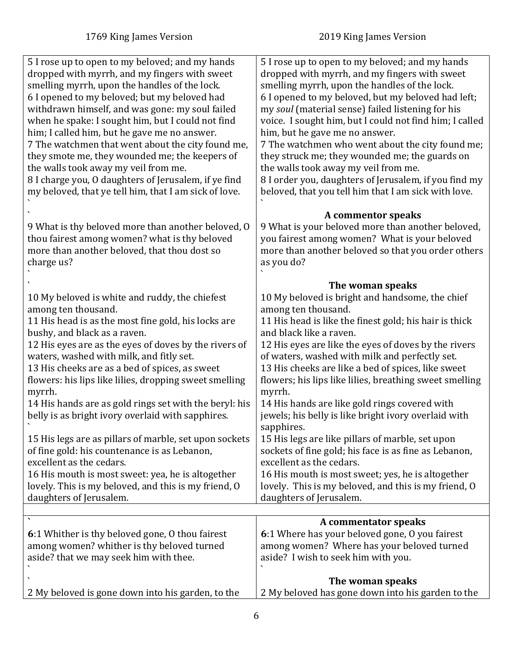<span id="page-5-0"></span>

| 5 I rose up to open to my beloved; and my hands        | 5 I rose up to open to my beloved; and my hands         |
|--------------------------------------------------------|---------------------------------------------------------|
| dropped with myrrh, and my fingers with sweet          | dropped with myrrh, and my fingers with sweet           |
| smelling myrrh, upon the handles of the lock.          | smelling myrrh, upon the handles of the lock.           |
| 6 I opened to my beloved; but my beloved had           | 6 I opened to my beloved, but my beloved had left;      |
| withdrawn himself, and was gone: my soul failed        | my soul (material sense) failed listening for his       |
| when he spake: I sought him, but I could not find      | voice. I sought him, but I could not find him; I called |
| him; I called him, but he gave me no answer.           | him, but he gave me no answer.                          |
| 7 The watchmen that went about the city found me,      | 7 The watchmen who went about the city found me;        |
|                                                        |                                                         |
| they smote me, they wounded me; the keepers of         | they struck me; they wounded me; the guards on          |
| the walls took away my veil from me.                   | the walls took away my veil from me.                    |
| 8 I charge you, O daughters of Jerusalem, if ye find   | 8 I order you, daughters of Jerusalem, if you find my   |
| my beloved, that ye tell him, that I am sick of love.  | beloved, that you tell him that I am sick with love.    |
|                                                        |                                                         |
|                                                        | A commentor speaks                                      |
| 9 What is thy beloved more than another beloved, O     | 9 What is your beloved more than another beloved,       |
| thou fairest among women? what is thy beloved          | you fairest among women? What is your beloved           |
| more than another beloved, that thou dost so           | more than another beloved so that you order others      |
| charge us?                                             | as you do?                                              |
|                                                        |                                                         |
|                                                        | The woman speaks                                        |
| 10 My beloved is white and ruddy, the chiefest         | 10 My beloved is bright and handsome, the chief         |
| among ten thousand.                                    | among ten thousand.                                     |
|                                                        |                                                         |
| 11 His head is as the most fine gold, his locks are    | 11 His head is like the finest gold; his hair is thick  |
| bushy, and black as a raven.                           | and black like a raven.                                 |
| 12 His eyes are as the eyes of doves by the rivers of  | 12 His eyes are like the eyes of doves by the rivers    |
| waters, washed with milk, and fitly set.               | of waters, washed with milk and perfectly set.          |
| 13 His cheeks are as a bed of spices, as sweet         | 13 His cheeks are like a bed of spices, like sweet      |
| flowers: his lips like lilies, dropping sweet smelling | flowers; his lips like lilies, breathing sweet smelling |
| myrrh.                                                 | myrrh.                                                  |
| 14 His hands are as gold rings set with the beryl: his | 14 His hands are like gold rings covered with           |
| belly is as bright ivory overlaid with sapphires.      | jewels; his belly is like bright ivory overlaid with    |
|                                                        | sapphires.                                              |
| 15 His legs are as pillars of marble, set upon sockets | 15 His legs are like pillars of marble, set upon        |
| of fine gold: his countenance is as Lebanon,           | sockets of fine gold; his face is as fine as Lebanon,   |
| excellent as the cedars.                               | excellent as the cedars.                                |
| 16 His mouth is most sweet: yea, he is altogether      | 16 His mouth is most sweet; yes, he is altogether       |
| lovely. This is my beloved, and this is my friend, O   | lovely. This is my beloved, and this is my friend, O    |
| daughters of Jerusalem.                                | daughters of Jerusalem.                                 |
|                                                        |                                                         |
| $\boldsymbol{\checkmark}$                              | A commentator speaks                                    |
| 6:1 Whither is thy beloved gone, 0 thou fairest        | 6:1 Where has your beloved gone, O you fairest          |
|                                                        |                                                         |
| among women? whither is thy beloved turned             | among women? Where has your beloved turned              |
| aside? that we may seek him with thee.                 | aside? I wish to seek him with you.                     |
|                                                        |                                                         |
|                                                        | The woman speaks                                        |
| 2 My beloved is gone down into his garden, to the      | 2 My beloved has gone down into his garden to the       |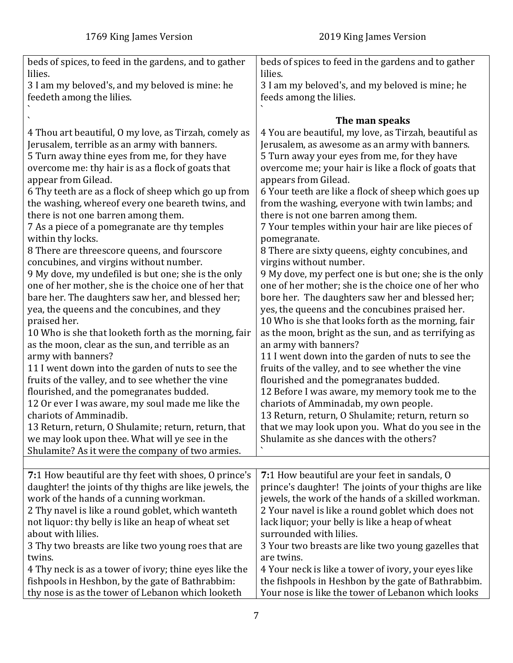<span id="page-6-0"></span>

| beds of spices, to feed in the gardens, and to gather   | beds of spices to feed in the gardens and to gather   |
|---------------------------------------------------------|-------------------------------------------------------|
| lilies.                                                 | lilies.                                               |
| 3 I am my beloved's, and my beloved is mine: he         | 3 I am my beloved's, and my beloved is mine; he       |
| feedeth among the lilies.                               | feeds among the lilies.                               |
| 4 Thou art beautiful, 0 my love, as Tirzah, comely as   | The man speaks                                        |
| Jerusalem, terrible as an army with banners.            | 4 You are beautiful, my love, as Tirzah, beautiful as |
| 5 Turn away thine eyes from me, for they have           | Jerusalem, as awesome as an army with banners.        |
| overcome me: thy hair is as a flock of goats that       | 5 Turn away your eyes from me, for they have          |
| appear from Gilead.                                     | overcome me; your hair is like a flock of goats that  |
| 6 Thy teeth are as a flock of sheep which go up from    | appears from Gilead.                                  |
| the washing, whereof every one beareth twins, and       | 6 Your teeth are like a flock of sheep which goes up  |
| there is not one barren among them.                     | from the washing, everyone with twin lambs; and       |
| 7 As a piece of a pomegranate are thy temples           | there is not one barren among them.                   |
| within thy locks.                                       | 7 Your temples within your hair are like pieces of    |
| 8 There are threescore queens, and fourscore            | pomegranate.                                          |
| concubines, and virgins without number.                 | 8 There are sixty queens, eighty concubines, and      |
| 9 My dove, my undefiled is but one; she is the only     | virgins without number.                               |
| one of her mother, she is the choice one of her that    | 9 My dove, my perfect one is but one; she is the only |
| bare her. The daughters saw her, and blessed her;       | one of her mother; she is the choice one of her who   |
| yea, the queens and the concubines, and they            | bore her. The daughters saw her and blessed her;      |
| praised her.                                            | yes, the queens and the concubines praised her.       |
| 10 Who is she that looketh forth as the morning, fair   | 10 Who is she that looks forth as the morning, fair   |
| as the moon, clear as the sun, and terrible as an       | as the moon, bright as the sun, and as terrifying as  |
| army with banners?                                      | an army with banners?                                 |
| 11 I went down into the garden of nuts to see the       | 11 I went down into the garden of nuts to see the     |
| fruits of the valley, and to see whether the vine       | fruits of the valley, and to see whether the vine     |
| flourished, and the pomegranates budded.                | flourished and the pomegranates budded.               |
| 12 Or ever I was aware, my soul made me like the        | 12 Before I was aware, my memory took me to the       |
| chariots of Amminadib.                                  | chariots of Amminadab, my own people.                 |
| 13 Return, return, O Shulamite; return, return, that    | 13 Return, return, O Shulamite; return, return so     |
| we may look upon thee. What will ye see in the          | that we may look upon you. What do you see in the     |
| Shulamite? As it were the company of two armies.        | Shulamite as she dances with the others?              |
|                                                         |                                                       |
| 7:1 How beautiful are thy feet with shoes, 0 prince's   | 7:1 How beautiful are your feet in sandals, O         |
| daughter! the joints of thy thighs are like jewels, the | prince's daughter! The joints of your thighs are like |
| work of the hands of a cunning workman.                 | jewels, the work of the hands of a skilled workman.   |
| 2 Thy navel is like a round goblet, which wanteth       | 2 Your navel is like a round goblet which does not    |
| not liquor: thy belly is like an heap of wheat set      | lack liquor; your belly is like a heap of wheat       |
| about with lilies.                                      | surrounded with lilies.                               |
| 3 Thy two breasts are like two young roes that are      | 3 Your two breasts are like two young gazelles that   |
| twins.                                                  | are twins.                                            |
| 4 Thy neck is as a tower of ivory; thine eyes like the  | 4 Your neck is like a tower of ivory, your eyes like  |
| fishpools in Heshbon, by the gate of Bathrabbim:        | the fishpools in Heshbon by the gate of Bathrabbim.   |
| thy nose is as the tower of Lebanon which looketh       | Your nose is like the tower of Lebanon which looks    |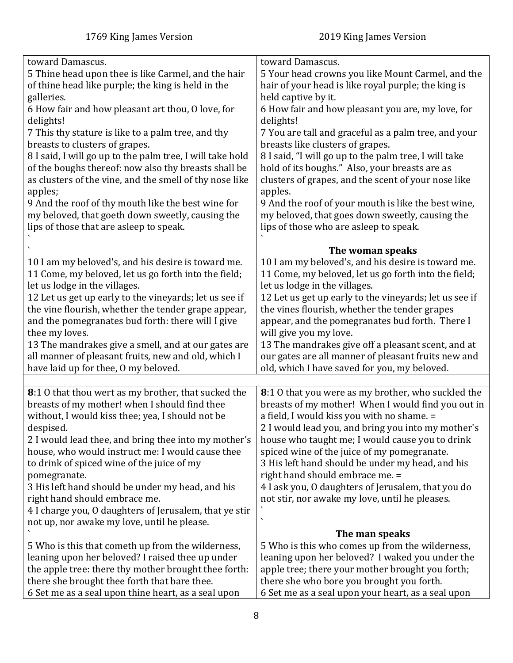<span id="page-7-0"></span>

| toward Damascus.                                          | toward Damascus.                                       |
|-----------------------------------------------------------|--------------------------------------------------------|
| 5 Thine head upon thee is like Carmel, and the hair       | 5 Your head crowns you like Mount Carmel, and the      |
| of thine head like purple; the king is held in the        | hair of your head is like royal purple; the king is    |
| galleries.                                                | held captive by it.                                    |
| 6 How fair and how pleasant art thou, O love, for         | 6 How fair and how pleasant you are, my love, for      |
|                                                           |                                                        |
| delights!                                                 | delights!                                              |
| 7 This thy stature is like to a palm tree, and thy        | 7 You are tall and graceful as a palm tree, and your   |
| breasts to clusters of grapes.                            | breasts like clusters of grapes.                       |
| 8 I said, I will go up to the palm tree, I will take hold | 8 I said, "I will go up to the palm tree, I will take  |
| of the boughs thereof: now also thy breasts shall be      | hold of its boughs." Also, your breasts are as         |
| as clusters of the vine, and the smell of thy nose like   | clusters of grapes, and the scent of your nose like    |
| apples;                                                   | apples.                                                |
| 9 And the roof of thy mouth like the best wine for        | 9 And the roof of your mouth is like the best wine,    |
|                                                           |                                                        |
| my beloved, that goeth down sweetly, causing the          | my beloved, that goes down sweetly, causing the        |
| lips of those that are asleep to speak.                   | lips of those who are asleep to speak.                 |
|                                                           |                                                        |
|                                                           | The woman speaks                                       |
| 10 I am my beloved's, and his desire is toward me.        | 10 I am my beloved's, and his desire is toward me.     |
| 11 Come, my beloved, let us go forth into the field;      | 11 Come, my beloved, let us go forth into the field;   |
| let us lodge in the villages.                             | let us lodge in the villages.                          |
| 12 Let us get up early to the vineyards; let us see if    | 12 Let us get up early to the vineyards; let us see if |
| the vine flourish, whether the tender grape appear,       | the vines flourish, whether the tender grapes          |
| and the pomegranates bud forth: there will I give         | appear, and the pomegranates bud forth. There I        |
| thee my loves.                                            | will give you my love.                                 |
| 13 The mandrakes give a smell, and at our gates are       | 13 The mandrakes give off a pleasant scent, and at     |
| all manner of pleasant fruits, new and old, which I       | our gates are all manner of pleasant fruits new and    |
|                                                           |                                                        |
| have laid up for thee, O my beloved.                      | old, which I have saved for you, my beloved.           |
|                                                           | 8:1 0 that you were as my brother, who suckled the     |
| 8:1 0 that thou wert as my brother, that sucked the       |                                                        |
| breasts of my mother! when I should find thee             | breasts of my mother! When I would find you out in     |
| without, I would kiss thee; yea, I should not be          | a field, I would kiss you with no shame. =             |
| despised.                                                 | 2 I would lead you, and bring you into my mother's     |
| 2 I would lead thee, and bring thee into my mother's      | house who taught me; I would cause you to drink        |
| house, who would instruct me: I would cause thee          | spiced wine of the juice of my pomegranate.            |
| to drink of spiced wine of the juice of my                | 3 His left hand should be under my head, and his       |
| pomegranate.                                              | right hand should embrace me. =                        |
| 3 His left hand should be under my head, and his          | 4 I ask you, O daughters of Jerusalem, that you do     |
| right hand should embrace me.                             | not stir, nor awake my love, until he pleases.         |
| 4 I charge you, O daughters of Jerusalem, that ye stir    |                                                        |
|                                                           | $\cdot$                                                |
| not up, nor awake my love, until he please.               |                                                        |
|                                                           | The man speaks                                         |
| 5 Who is this that cometh up from the wilderness,         | 5 Who is this who comes up from the wilderness,        |
| leaning upon her beloved? I raised thee up under          | leaning upon her beloved? I waked you under the        |
| the apple tree: there thy mother brought thee forth:      | apple tree; there your mother brought you forth;       |
| there she brought thee forth that bare thee.              | there she who bore you brought you forth.              |
| 6 Set me as a seal upon thine heart, as a seal upon       | 6 Set me as a seal upon your heart, as a seal upon     |